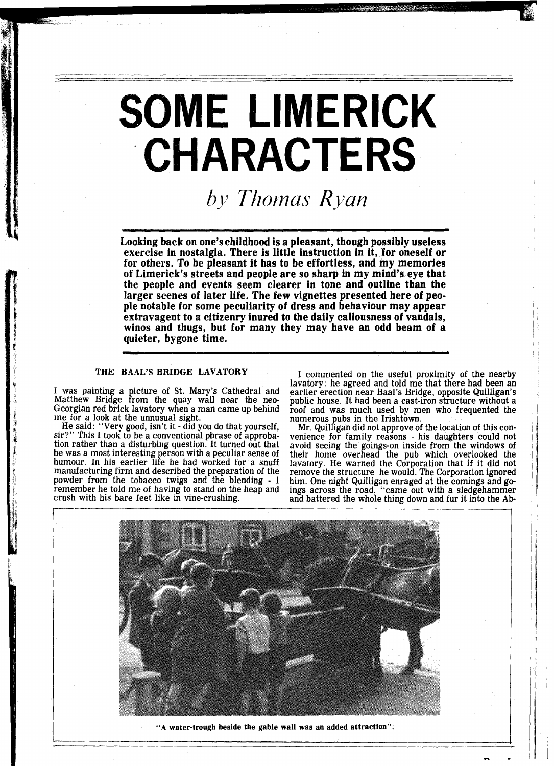# **SOME LIMERICK CHARACTERS**

*by Thomas Ryan* 

Looking back on one'schildhood is a pleasant, though possibly useless exercise in nostalgia. There is little instruction in it, for oneself or for others. To be pleasant it has to be effortless, and my memories of Limerick's streets and people are so sharp in my mind's eye that the people and events seem clearer in tone and outline than the larger scenes of later life. The few vignettes presented here of people notable for some peculiarity of dress and behaviour may appear extravagent to a citizenry inured to the daily callousness of vandals, winos and thugs, but for many they may have an odd beam of a quieter, bygone time.

# **THE BAAL'S BRIDGE LAVATORY**

I was painting **a** icture of St. Mary's Cathedral and Matthew Bridge from the quay wall near the neo-Georgian red brick lavatory when a man came up behind

me for a look at the unnusual sight. He said: "Very good, isn't it - did you do that yourself, sir?" This I took to be a conventional phrase of approba- tion rather than a disturbing question. It turned out that he was a most interesting person with a peculiar sense of humour. In his earlier life he had worked for a snuff manufacturing firm and described the preparation of the powder from the tobacco twigs and the blending - I remember he told me of having to stand on the heap and crush with his bare feet like in vine-crushing.

I commented on the useful proximity of the nearby lavatory: he agreed and told me that there had been an earlier erection near Baal's Bridge, opposite Quilligan's public house. It had been a cast-iron structure without a roof and was much used by men who frequented the numerous pubs in the Irishtown.

Mr. Quilligan did not approve of the location of this convenience for family reasons - his daughters could not avoid seeing the goings-on inside from the windows of their home overhead the pub which overlooked the lavatory. He warned the Corporation that if it did not him. One night Quilligan enraged at the cornings and go-<br>ings across the road, "came out with a sledgehammer<br>and battered the whole thing down and fur it into the Ab-



**"A water-trough beside the gable wall was an added attraction".**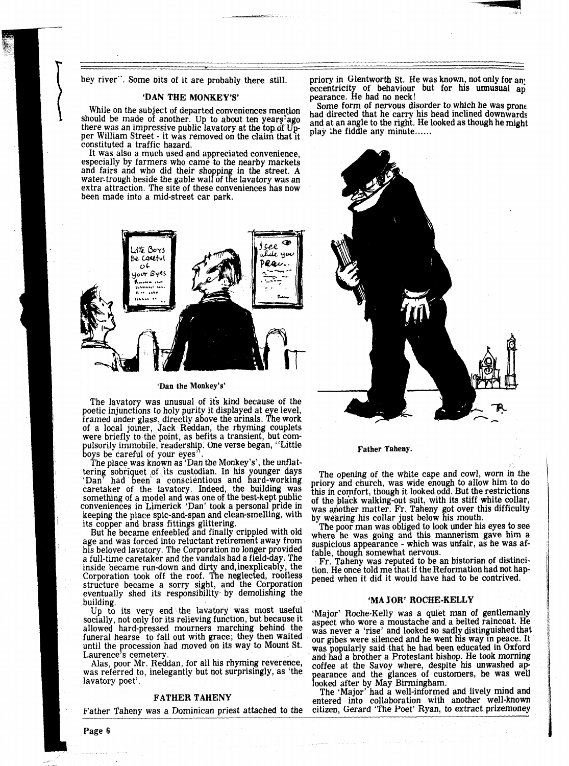While on the subject of departed conveniences mention<br>should be made of another. Up to about ten years ago<br>there was an impressive public lavatory at the top of Up-<br>per William Street - it was removed on the claim that it constituted a traffic hazard.

It was also a much used and appreciated convenience, especially by farmers who came to the nearby markets and fairs and who did their shopping in the street. A water-trough beside the gable wall of the lavatory was an extra attraction. The site of these conveniences has now been made into a mid-street car park.



#### 'Dan the Monkey's'

The lavatory was unusual of its kind because of the poetic injunctions to holy purity it displayed at eye level, framed under glass, directly above the urinals. The work of a local joiner, Jack Reddan, the rhyming couplets were brieflv to the point. as befits a transient, but compulsorily immobile, readership. One verse began, "Little boys be careful of your eyes".

The place was known as 'Dan the Monkey's', the unflattering sobriquet of its custodian. In his younger days 'Dan' had been a conscientious and hard-working caretaker of the lavatory. Indeed, the building was something of a model and was one of the best-kept public conveniences in Limerick. 'Dan' took a personal pride in keeping the place spic-and-span and clean-smelling, with its copper and brass fittings glittering.

But he became enfeebled and finally crippled with old age and was forced into reluctant retirement away from<br>his beloved lavatory. The Corporation no longer provided a full-time caretaker and the vandals had a field-day. The inside became run-down and dirty and,inexplicably, the Corporation took off the roof. The neglected, roofless structure became a sorry sight, and the Corporation eventually shed its responsibility by demolishing the building.

Up to its very end the lavatory was most useful socially, not only for its relieving function, but because it allowed hard-pressed mourners marching behind the funeral hearse to fall out with grace; they then waited until the procession had moved on its way to Mount St.

Alas, poor Mr. Reddan, for all his rhyming reverence, was referred to, inelegantly but not surprisingly, as 'the lavatory poet'.

Father Taheny was a Dominican priest attached to the citizen, Gerard 'The Poet' Ryan, to extract prizemoney

bey river". Some bits of it are probably there still. priory in Glentworth St. He was known, not only for any eccentricity of behaviour but for his unnusual ap 'DAN THE MONKEY'S' pearance. He had no neck!<br>which is discreted convincions are with some form of nervous disorder to which he was prone



Father Taheny.

The opening of the white cape and cowl, worn in the priory and church, was wide enough to allow him to do this in comfort, though it looked odd. But the restrictions of the black walking-out suit, with its stiff white collar, was another matter. Fr. Taheny got over this difficulty by wearing his collar just below his mouth.

The poor man was obliged to look under his eyes to see where he was going and this mannerism gave him a suspicious appearance - which was unfair, as he was affable, though'somewhat nervous.

Fr. Taheny was reputed to be an historian of distincipened when it did it would have had to be contrived.

#### 'MA YOR' ROCHE-KELLY

'Major' Roche-Kelly was a quiet man of gentlemanly aspect who wore a moustache and a belted raincoat. He was never a 'rise' and looked so sadly distinguishedthat our gibes were silenced and he went his way in peace. It was popularly said that he had been educated in Oxford<br>and had a brother a Protestant bishop. He took morning coffee at the Savoy where, despite his unwashed appearance and the glances of customers, he was well looked after by May Birmingham.<br>The 'Major' had a well-informed and lively mind and

FATHER TAHENY The 'Major' had a well-informed and lively mind and entered into collaboration with another well-known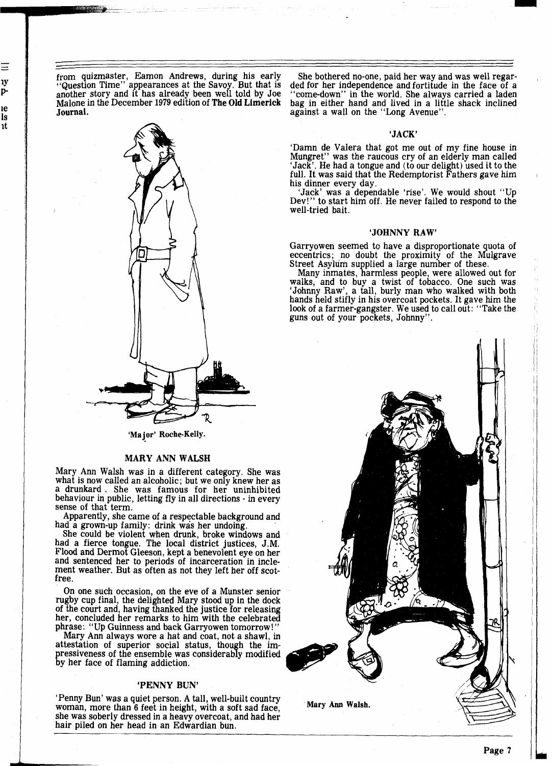**Journal. and the set of the set of the set of the set of the set of the set of the "Long Avenue".** 

Ξ 1y pıe ls ıt



'Major' Roche-Kelly.

# **MARY ANN WALSH**

Mary Ann Walsh was in a different category. She was what is now called an alcoholic; but we only knew her as a drunkard . She was famous for her uninhibited behaviour in public, letting fly in all directions - in every sense of that term.

Apparently, she came of a respectable background and had a grown-up family: drink was her undoing.

She could be violent when drunk, broke windows and had a fierce tongue. The local district justices, J.M. Flood and Dermot Gleeson, kept a benevolent eye on her and sentenced her to periods of incarceration in inclement weather. But as often as not they left her off scotfree.

On one such occasion, on the eve of a Munster senior rugby cup final, the delighted Mary stood ip in the dock of the court and, having thanked the justice for releasing her, concluded her remarks to him with the celebrated phrase: "Up Guinness and back Garryowen tomorrow! "

Mary Ann always wore a hat and coat, not a shawl, in attestation of superior social status, though the imressiveness of the ensemble was considerably modified by her face of flaming addiction.

#### **'PENNY BUN'**

'Penny Bun' was a quiet person. A tall, well-built country woman, more than 6 feet in height, with a soft sad face, Mary **Am** Walsh. she was soberly dressed in a heavy overcoat, and had her hair piled on her head in an Edwardian bun.

from quizmaster, Eamon Andrews, during his early She bothered no-one, paid her way and was well regar-<br>"Question Time" appearances at the Savoy. But that is ded for her independence and fortitude in the face of a "Question Time" appearances at the Savoy. But that is ded for her independence and fortitude in the face of a<br>another story and it has already been well told by Joe "come-down" in the world. She always carried a laden Malone in the December **1979** edition of **The Old Limerick** bag in either hand and lived in a little shack inclined

#### **'JACK'**

'Damn de Valera that got me out of my fine house in 'Jack'. He had a tongue and (to our delight) used it to the full. It was said that the Redemptorist Fathers gave him his dinner every day.

his dinner every day. 'Jack' was a dependable 'rise'. We would shout **"Up**  Dev!" to start him off. He never failed to respond to the well-tried bait.

#### **'JOHNNY RAW'**

Garryowen seemed to have a disproportionate quota of eccentrics; no doubt the proximity of the Mulgrave Street Asylum supplied a large number of these.

Many inmates, harmless people, were allowed out for walks, and to buy a twist of tobacco. One such was 'Johnny Raw', a tall, burly man who walked with both hands held stifly in his overcoat pockets. It gave him the look of a farmer-gangster. We used to call out: ''Take the guns out of your pockets, Johnny".

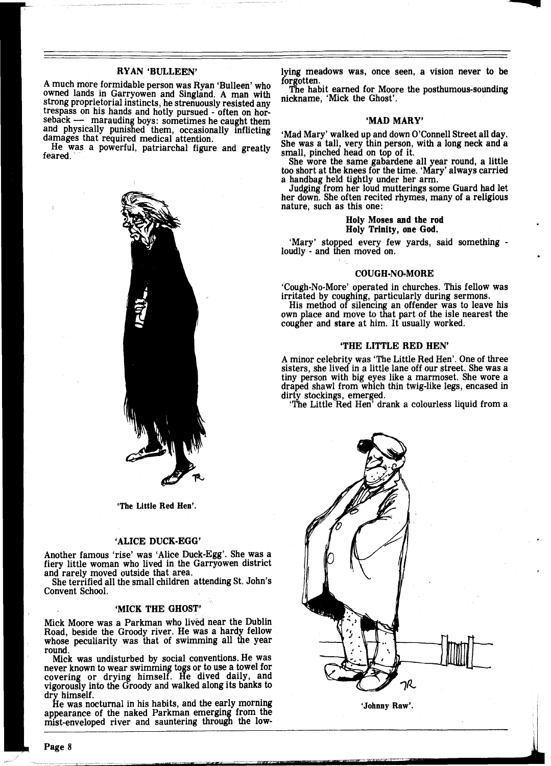## RYAN 'BULLEEN'

A much more formidable person was Ryan 'Bulleen' who owned lands in Garryowen and Singland. A man with owned iands in Garryowen and Singland. A man with<br>strong proprietorial instincts, he strenuously resisted any<br>trespass on his hands and hotly pursued - often on hor-<br>seback — marauding boys: sometimes he caught them<br>and ph trespass on his hands and hotly pursued - often on hor-<br>seback — marauding boys: sometimes he caught them

damages that required medical attention.<br>He was a powerful, patriarchal figure and greatly<br>feared.



'The Little Red Hen'.

#### 'ALICE DUCK-EGG'

Another famous 'rise' was 'Alice Duck-Egg'. She was a fiery little woman who lived in the Garryowen district and rarely moved outside that area.

She terrified all the small children attending St. John's Convent School.

## 'MICK THE GHOST'

Mick Moore was a Parkman who lived near the Dublin Road, beside the Groody river. He was a hardy fellow whose peculiarity was that of swimming all the year round.

Mick was undisturbed by social conventions. He was never known to wear swimming togs or to use a towel for<br>covering or drying himself. He dived daily, and<br>vigorously into the Groody and walked along its banks to dry himself.

He was nocturnal in his habits, and the early morning appearance of the naked Parkman emerging from the mist-enveloped river and sauntering through the lowlying meadows was, once seen, a vision never to be forgotten.

The habit earned for Moore the posthumous-sounding nickname, 'Mick the Ghost'.

#### 'MAD MARY'

'Mad Mary' walked up and down O'Connell Street all day. She was a tall, very thin person, with a long neck and a small, pinched head on top of it.

She wore the same gabardene all year round, a little too short at the knees for the time. 'Mary' always carried a handbag held tightly under her arm.

Judging from her loud mutterings some Guard had let her down. She often recited rhymes, many of a religious nature, such as this one:

## Holy Moses and the rod Holy Trinity, one God.

'Mary' stopped every few yards, said something loudly - and then moved on.

#### COUGH-NO-MORE

'Cough-No-More' operated in churches. This fellow was irritated by coughing, particularly during sermons.

His method of silencing an offender was to leave his own place and move to that part of the isle nearest the cougher and stare at him. It usually worked.

#### 'THE LITTLE RED HEN'

A minor celebrity was 'The Little Red Hen'. One of three sisters, she lived in a little lane off our street. She was a tiny person with big eyes like a marmoset. She wore a draped shawl from which thin twig-like legs, encased in dirty stockings, emerged.

'The Little Red Hen' drank a colourless liquid from a



'Johnny Raw'.